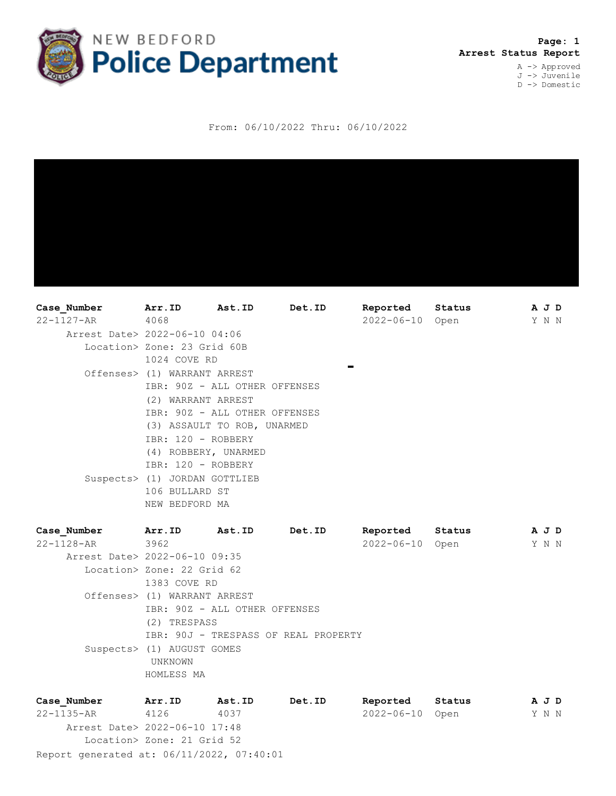

 **Page: 1 Arrest Status Report** A -> Approved J -> Juvenile

D -> Domestic

From: 06/10/2022 Thru: 06/10/2022

**Case\_Number Arr.ID Ast.ID Det.ID Reported Status A J D** 22-1127-AR 4068 2022-06-10 Open Y N N Arrest Date> 2022-06-10 04:06 Location> Zone: 23 Grid 60B 1024 COVE RD  $\blacksquare$  Offenses> (1) WARRANT ARREST IBR: 90Z - ALL OTHER OFFENSES (2) WARRANT ARREST IBR: 90Z - ALL OTHER OFFENSES (3) ASSAULT TO ROB, UNARMED IBR: 120 - ROBBERY (4) ROBBERY, UNARMED IBR: 120 - ROBBERY Suspects> (1) JORDAN GOTTLIEB 106 BULLARD ST NEW BEDFORD MA **Case\_Number Arr.ID Ast.ID Det.ID Reported Status A J D** 22-1128-AR 3962 2022-06-10 Open Y N N Arrest Date> 2022-06-10 09:35

 Location> Zone: 22 Grid 62 1383 COVE RD Offenses> (1) WARRANT ARREST IBR: 90Z - ALL OTHER OFFENSES (2) TRESPASS IBR: 90J - TRESPASS OF REAL PROPERTY Suspects> (1) AUGUST GOMES UNKNOWN HOMLESS MA

Report generated at: 06/11/2022, 07:40:01 **Case\_Number Arr.ID Ast.ID Det.ID Reported Status A J D** 22-1135-AR 4126 4037 2022-06-10 Open Y N N Arrest Date> 2022-06-10 17:48 Location> Zone: 21 Grid 52